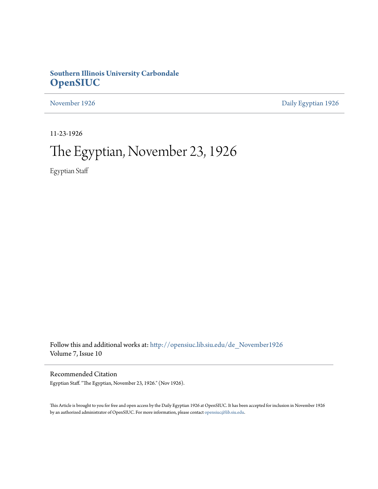# **Southern Illinois University Carbondale [OpenSIUC](http://opensiuc.lib.siu.edu?utm_source=opensiuc.lib.siu.edu%2Fde_November1926%2F2&utm_medium=PDF&utm_campaign=PDFCoverPages)**

[November 1926](http://opensiuc.lib.siu.edu/de_November1926?utm_source=opensiuc.lib.siu.edu%2Fde_November1926%2F2&utm_medium=PDF&utm_campaign=PDFCoverPages) [Daily Egyptian 1926](http://opensiuc.lib.siu.edu/de_1926?utm_source=opensiuc.lib.siu.edu%2Fde_November1926%2F2&utm_medium=PDF&utm_campaign=PDFCoverPages)

11-23-1926

# The Egyptian, November 23, 1926

Egyptian Staff

Follow this and additional works at: [http://opensiuc.lib.siu.edu/de\\_November1926](http://opensiuc.lib.siu.edu/de_November1926?utm_source=opensiuc.lib.siu.edu%2Fde_November1926%2F2&utm_medium=PDF&utm_campaign=PDFCoverPages) Volume 7, Issue 10

Recommended Citation

Egyptian Staff. "The Egyptian, November 23, 1926." (Nov 1926).

This Article is brought to you for free and open access by the Daily Egyptian 1926 at OpenSIUC. It has been accepted for inclusion in November 1926 by an authorized administrator of OpenSIUC. For more information, please contact [opensiuc@lib.siu.edu.](mailto:opensiuc@lib.siu.edu)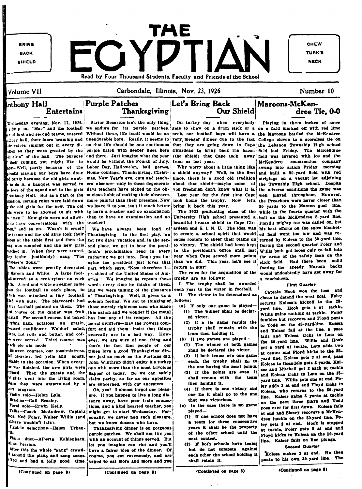

### Volume VII

### Carbondale, Illinois, Nov. 23, 1926

dree Tie, 0-0

Maroons-McKen-

## $\mu$ hthony  $\rm Hall$ **Entertains**

Wednesday evening, Nov. 17, 1926, to have conversations with the teacher? en." and so on. Wasn't it cruel? be teams and the old girls took their "soner's Song."

eamed cauliflower, Waldorf salad, res, hot rolls and butter, and cofwere served. Third course was ach pie ala mode.

Between courses, our toastmistress, stable to the occasion. When every-<sup>he was</sup> finished, the new girls were trused. Then the guests and the here they were entertained by a ort program.

Violin solo-Helen Lyle. Reading-Gail Beasley. Vocal solo-Frwin Kelly. Talks-Coach McAndrew, Captaia <sup>ook</sup>. Ned Foley, Walter Willis (and

abbage wouldn't talk). Ukulele selections-Helen Urbanlk.

Piano duet-Alberta Kahlenback. rline Perrine.

After this the whole "gang" crowdaround the plano and sang songs. alked and had a jolly good time.



Sartor Resartus isn't the only thing 5:30 p.m., "Mac" and the football we endure for its purple patches. gets to chew on a drum stick or a n of first and second teams, entered Without these, life itself would be an neck, our football boys will have a  $_{\text{inthopy}}$  hall, their faces beaming and unendurable bore. Really, it seems to very meager dinner due to the fact ir voices ringing out in every di- us that life should be one continuous that they are going down to Cape the Lebanon Township High school tion as they were greeted by the purple patch with deeper hues here Girardeau to bring back the bacon id girls" of the hall. The purpose and there. Just imagine what the year (the shield) that Cape took away their coming, you might like to would be without the Fourth of July, from us last year.  $-Well$ , partly because of the Labor Day, Hallowe'en, ball games, leadd playing our boys have doue Home-comings, Thanksgiving, Christ- a shield anyway? Well, in the first d partly because the old girls want- mas, New Year's eve, cuts and teach- place, there is a good old tradition to do it, a banquet was served to ers' absence--only in these degenerate about that shield--maybe some boys of the squad and to the girls days teachers have picked up the ob-Anthony Hall. But as a part of the noxious habit of making their absences tiation, certain rules were laid down more painful than their presence. Now the old girls for the new. The old we leave it to you, isn't it much better is were to be abowed to sit with to have a teacher and no examination "men." New girls were not allow- than to have an examination and no

We have always been fond of Thanksgiving. In the first play, we  $x$  at the table first and then the get two days' vacation and, in the sec- $\log$  was sounded and the new girls ond place, we get to hear the presiarched in. When they were seated. dent's proclamation read in every ey (quite justifiably) sang "The gathering we get into. Don't you imagine the president just loves that The tables were prettily decorated part which says, "Now therefore I-Maroon and White. A large foot- president of the United States of Amd served as a centerplece on each erica." We imagine he repeats those ble. A red and white streamer came words every time he thinks of them. om the football to each place, to But we were talking of the pleasures bich was attached a tiny football of Thanksgiving. Well, it gives us a led with nuts. The placecards had solemn feeling. We get to thinking of follows: tiny football painted on them. The those sternly righteous men who made at course of the dinner was fruit, this nation and we wonder if the metal cktail. For second course, hot baked has lost any of its temper. All the izinia ham, potatoes au gratin, moral uplifters—may the Powers comfort and aid them-insist that things generally are in a bad way. However, we are sure of one thing and that's the fact that people of our times love a good Thanksgiving dinall Reasley, led yells and songs, ner just as much as the Puritans did. John Winthrop didn't enjoy his turkey one whit more than the most frivolous flapper of today. So we can safely  $d$  girls went into the living room. claim parity, so far as our appetites are concerned, with our ancestors.

Oh. yes! I almost forgot one pleas ure. If you happen to live a long distance away, have poor train connections, and a kind hearted teacher, you might get to start Wednesday. Personally, we never had such pleasure, but we know dozens who have.

Thanksgiving dinner is on gorgeous purple patches. We shall not tire you with an account of things served. But let you imagine run riot and you'll have a fairer idea of the dinner. Of course, you cat ruvenously, and are urged to eat more and more and you

On turkey day when everybody

Our Shield

Why worry about a little thing like of. you freshmen don't know what it is. Last year for the first time Cape took home the trophy. Now let's bring it back this year.

The 1922 graduating class of the University High school presented a beautiful bronze shield to Cape Girardeau and S. I. N. U. The idea was to create a school spirit that would cause rooters to cheer their teams on turned by Kolesa to the 30-yard line. to victory. The shield had been kept During the second quarter Foley and in the president's office until last year when Cape scored more points the arms of the safety man on the than we did. This year, let's see it return to stay!

The rules for the acquisition of the trophy are as follows:

I. The trophy shall be awarded each vear to the victor in football. II. The victor to be determined as

- (a) If only one game is played-(1) The winner shall be declared victor.
	- (2) If a tie game results the trophy shall remain with the team then holding it.
- (b) If two games are played-(1) The winner of both games
	- shall be declared the victor. (2) If both teams win one game
- each, the trophy shall go to the one having the most points. (3) If the points are even it
- shall remain with the team then holding it.
- (4) If there is one victory and one tie it shall go to the one that was victorious.
- (c) In the case there is no game played-
	- (1) If one school does not have a team for three consecutive years it shall be the property of the other school until the next contest.
	- (2) If both schools have teams but do not compete against each other the school holding it shall retain it.

Playing in three inches of snow on a field marked off with red lime the Marcons battled the McKendree College eleven to a scoreless tie on field last Friday. The McKendree field was covered with ice and the McKendree construction company swung into action Friday morning and built a 90-yard field with red stripings on a vacant lot adjoining the Township High school. Despite the adverse conditions the game was well played throughout. However, the Preachers were never closer than 30 yards to the Marcon goal line, while in the fourth quarter with the ball on the McKendree 8-yard line, Floyd's mighty toe was called on, but his best efforts on the snow blanketed field went too low and was re-Willis both got loose only to fail into slick field. Had there been solid footing the speedy Maroon backs would undoubtedly have got away for a touchdown.

### **First Quarter**

Captain Hook won the toss and chose to defend the west goal. Foley returns Kolesa's kickoff to the 28vard line. Hook gets 4 at tackle, Willis gains nothing at tackle. Foley fumbles but recovers and Floyd punts to Todd on the 45-yard-line. Kolesa and Kaiser fail at the line, a pass fails and Kolesa kicks to Lutz on the 30-yard line. Willis and Hook get a yard at tackle, Lutz adds two at center and Floyd kicks to the 35yard line, Kolesa gets 3 at end, pass Kolesa to Goandola gets & yards, Kaiser and Mitchell get 2 each at tackle and Kolesa kicks to Luts on the 15yard line. Willis gets one at end, Foley adds 2 at end and Floyd kicks to Kolesa, who returns to the 50-yard line. Kaiser gains 8 yards at tackle on the next three plays and Todd goes over for first down. Kolesa fails at end and Sisney recovers a McKendree fumble on the 50-yard line. Foley gets 2 at end. Hook is stopped at tackle, Foley gets 3 at end and Floyd kicks to Kolesa on the 10-yard line. Kaiser fails on line plunge.

### **Second Quarter**

Kolesa makes 2 at end. He then punts to his own 30-yard line. The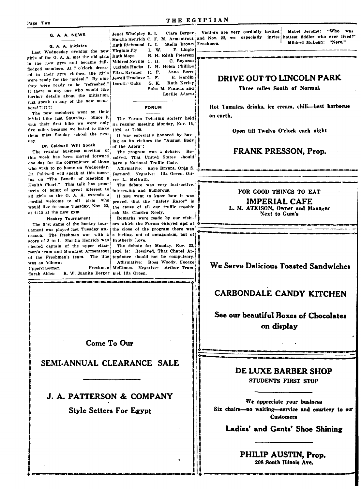#### G. A. A. NEWS

### G. A. A. Initiates

Last Wednesday evening the new Virginia Fly girls of the G. A. A. met the old girls Ruth Moye in the new gym and became fullfledged members. At 7 o'clock, dressed in their gym clothes, the girls Eliza. Krysher R. F. were ready for the "ordeal." By nine Jewell Truelove L. F. they were ready to be "refreshed." | Doroth Oaks G. K. If there is any one who would like further details about the initiation, just speak to any of the new members! ?! ?! ?!

The new members went on their initial hike last Saturday. Since it was their first hike we went only five miles because we hated to make 1926, at 7:00. them miss Sunday school the next, aav.

### Dr. Caldwell Will Speak

The regular business meeting of this week has been moved forward solved. That United States should one day for the convenience of those have a National Traffic Code. who wish to go home on Wednesday. Dr. Caldwell will speak at this meeting on "The Benefit of Keeping a ver L. McIlrath. Health Chart." This talk has prospects of being of great interest to interesting and humorous. all girls so the G. A. A. extends a at 4:15 at the new gym.

#### **Hockey Tournament**

nament was played last Tuesday att- the close of the program there was ernoon. The freshmen won with a score of 3 to 1. Martha Henrich was Brotherly Love. elected captain of the upper classmen's team and Margaret Armentrout 1926, is: Resolved, That Chapel Atof the Freshmen's team. The line tendance should not be compulsory. was as follows:

Unperclassmen Sarah Alden

Clara Berger Jenet Whelpley R. I. Ruth Richmond L. I. Stella Brown Freshmen. F. Lingle L.W. R. H. Edith Peterson Mildred Neville C. H. C. Boynton Lucinda Hucks L. H. Helen Phillips Anna Borst E. Hardin **Ruth Kerley** Sube M Francis and Lucille Adams

**FORUM** 

The Forum Debating society held its regular meeting Monday, Nov. 15.

It was especially honored by having as its visitors the "August Body of the Agora"!

The program was a debate: Re-

Affirmative: Roye Bryant, Orda S. Barnard. Negative: Illa Green, Oli-

The debate was very instructive.

If you want to know how it was cordial welcome to all girls who proved, that the "Safety Razor" is would like to come Tuesday, Nov. 23, the cause of all our traffic trouble ask Mr Charles Neely.

Remarks were made by our visit-The first game of the hockey tour- ors which the Forum enjoyed and at a feeling, not of antagonism, but of

> The debate for Monday, Nov. 22, Affirmative: Ross Woody, George Freshmen McGimus. Negative: Arthur Tram-R. W. Juanita Berger mel. Illa Green.

Visitors are very cordially invited Mabel Jerome: "Who Woo Martha Henrich C. F. M. Armentrout and Nov. 22, we especially invite hottest fiddler who ever lived?" Mildred McLean: "Nero."

# DRIVE OUT TO LINCOLN PARK

Three miles South of Normal.

Hot Tamales, drinks, ice cream, chili-best barbecue on earth.

Open till Twelve O'clock each night

### **FRANK PRESSON, Prop.**

FOR GOOD THINGS TO EAT

**IMPERIAL CAFE** L. M. ATKISON, Owner and Manager Next to Gum's

# We Serve Delicious Toasted Sandwiches

# **CARBONDALE CANDY KITCHEN**

# See our beautiful Boxes of Chocolates on display

### **Come To Our**

SEMI-ANNUAL CLEARANCE SALE

# **J. A. PATTERSON & COMPANY**

**Style Setters For Egypt** 



We appreciate your business Six chairs-no waiting-service and courtesy to our **Customers** 

Ladies' and Gents' Shoe Shining

PHILIP AUSTIN, Prop. 208 South Illinois Ave.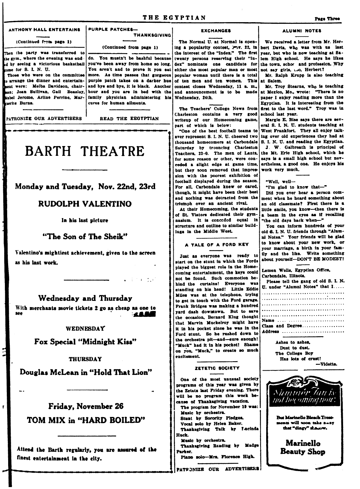### THE EGYPTIAN

#### ANTHONY HALL ENTERTAINS PURPLE PATCHES-

### (Continued from page 1)

Then the barty was transferred to the gym., where the evening was endame for  $S$ . I. N. U.

Those who were on the committee o arrange the dinner and entertainsent were: Melba Davidson, chairaan; Jean Sullivan, Gail Beasley, Mabel Jerome, Arline Perrine, Marruerite Burns.

PATRONIZE OUR ADVERTISERS

(Continued from page 1)

**THANKSGIVING** 

do. You mustn't be bashful because  $_{\rm id}$  by seeing a victorious basketball you've been away from home so long. You aren't and to prove it you eat more. As time passes that gorgeous purple patch takes on a darker hue and bye and bye, it is black. Another hour and you are in bed with the family physician administering his cures for human ailments.

READ THE EEGYPTIAN

 $\frac{1}{2}$  . The set of  $\frac{1}{2}$  is the set of  $\frac{1}{2}$ 

# **BARTH THEATRE**

Monday and Tuesday, Nov. 22nd, 23rd

# **RUDOLPH VALENTINO**

In his last picture

## "The Son of The Sheik"

Valentino's mightiest achievement, given to the screen as his last work.

Wednesday and Thursday

With merchants movie tickets 2 go as cheap as one to **ALLES** 

### WEDNESDAY

Fox Special "Midnight Kiss"

### **THURSDAY**

Douglas McLean in "Hold That Lion"

Friday, November 26 TOM MIX in "HARD BOILED"

 $\mathbf r$ 

Attend the Barth regularly, you are assured of the finest entertainment in the city.

### **EXCHANGES**

The Normal U. at Normal is openthe interest of the "Index." The first twenty persons reserving their "Index" nominate one candidate for either the most popular man or most popular woman until there is a total of ten men and ten women. This contest closes Wednesday, 11 a. m., and announcement is to be made Wednesday, 24th.

The Teachers' College News from Charleston contains a very good writeup of our Homecoming game, part of which is below:

"One of the best football teams to ever represent S. I. N. U. cheered two thousand homecomers at Carbondale Saturday by trouncing Charleston Teachers, 23-0. The men of Lantz, for some reason or other, were conceded a slight edge at game time, but they soon removed that impression with the poorest exhibition of football displayed during the season. For all, Carbondale knew or cared. though, it might have been their best and nothing was detracted from the triumph over an ancient rival.

At their Homecoming, the students of St. Viators dedicated their gymnasium. It is conceded equal in structure and outline to similar buildings in the Middle West.



Just as everyone was ready to start on the stunt in which the Fords played the biggest role in the Homecoming entertainment, the keys could not be found. Such commotion behind the curtains! Everyone was standing on his head! Little Eddie Miles was at the telephone, trying to get in touch with the Ford garage. Frank Bridges was making a hundred yard dash downtown. But to save the occasion, Bernard Klug thought that Marvin Muckelroy might have it in his pocket since he was in the Ford stunt. So he rushed down to the orchestra pit-and-sure enough! "Muck" had it in his pocket! Shame on you. "Muck," to create so much excitament.

### ZETETIC SOCIETY

One of the most unusual society programs of this year was given by the Zetets last Friday evening. There will be no program this week because of Thanksgiving vacation. The program for November 19 was: Music by orchestra. Stunt by Sorority Pledges. Vocal solo by Helen Baker. Thanksgiving Talk by Fucinda **Week** Music by orchestra. Thanksgiving Reading by Madge Parker. Piano solo-Mrs. Florence High. PATFONIZE OUR ADVERTISERS

# ALUMNI NOTES

We received a letter from Mr. Hering a popularity contest,  $2^m$ ,  $v$ . 22, in bert Davis, who was with us last year, but who is now teaching at Salem High school. He says he likes the town, schor and profession. Why not say girls, i.o. Herbert?

Mr. Ralph Krupp is also teaching at Salam

Mr. Troy Stearns, who is teaching at Mexico, Mo., wrote: "There is no paper I enjoy reading more than the Egyptian. It is interesting from the first to the last word." Troy was in school last year.

Margie E. Bise says there are several S. I. N. U. students teaching at West Frankfort. They all enjoy talking over old experiences they had at S. I. N. U. and reading the Egyptian. J. W. Galbreath is principal of the Mt. Erie High school, which he says is a small high school but nevertheless, a good one. He enjoys his work very much.

"Well, well-

"I'm glad to know that-"

Did you ever hear a person comment when he heard something about an old classmate? First there is a little smile, you know-then there is a beam in the eyes as if recalling "the old days back when-"

You can inform hundreds of your old S. I. N. U. friends through "Alumni Notes." Your friends will be glad to know about your new work, or your marriage, a birth in your family and the like. Write something about yourself-DON'T BE MODEST!

Lemen Wells. Egyptian Office, Carbondale, Illinois.  $1 - 1$   $\frac{1}{2}$   $\frac{1}{2}$   $\frac{1}{2}$   $\frac{1}{2}$   $\frac{1}{2}$   $\frac{1}{2}$   $\frac{1}{2}$   $\frac{1}{2}$   $\frac{1}{2}$   $\frac{1}{2}$   $\frac{1}{2}$   $\frac{1}{2}$   $\frac{1}{2}$ 

| riease ten me kans of our of a su- |  |  |  |  |  |  |  |  |  |  |  |  |  |  |  |  |  |  |
|------------------------------------|--|--|--|--|--|--|--|--|--|--|--|--|--|--|--|--|--|--|
| U. under "Alumni Notes" that I     |  |  |  |  |  |  |  |  |  |  |  |  |  |  |  |  |  |  |
|                                    |  |  |  |  |  |  |  |  |  |  |  |  |  |  |  |  |  |  |
|                                    |  |  |  |  |  |  |  |  |  |  |  |  |  |  |  |  |  |  |
|                                    |  |  |  |  |  |  |  |  |  |  |  |  |  |  |  |  |  |  |
|                                    |  |  |  |  |  |  |  |  |  |  |  |  |  |  |  |  |  |  |
|                                    |  |  |  |  |  |  |  |  |  |  |  |  |  |  |  |  |  |  |
| Name                               |  |  |  |  |  |  |  |  |  |  |  |  |  |  |  |  |  |  |
| Class and Degree                   |  |  |  |  |  |  |  |  |  |  |  |  |  |  |  |  |  |  |
| Address                            |  |  |  |  |  |  |  |  |  |  |  |  |  |  |  |  |  |  |

Ashes to ashes. Dust to dust. The College Boy Has lots of crust! -Vidette.

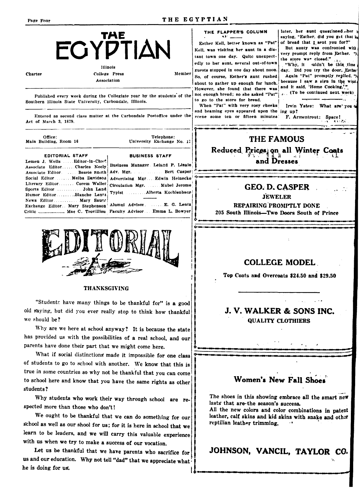| Charter                                                                                                                                                                             | <b>THE</b><br><b>ECYPTIAN</b><br><b>Illinois</b><br><b>College Press</b><br>Association                                                                                                                      | Member                        | THE FLAPPER'S COLUMN<br>Esther Kell, better known as "Pat"<br>Kell, was visiting her aunt in a dis-<br>tant town one day. Quite unexpect-<br>edly to her aunt, several out-of-town<br>guests stopped in one day about noon.<br>So, of course, Esther's sunt rushed<br>about to gather up enough for lunch. | later, her aunt questionedher<br>saying, "Esther, did you get that he<br>of bread that I sent you for?"<br>But aunty was confronted with<br>very prompt reply from Esther. "N<br>the store was closed."<br>"Why, it suldn't be this time<br>day. Did you try the door, Esther<br>Again "Pat" promptly replied, "N<br>because I saw a sign in the wind<br>and it said. 'Home Cooking,'" |
|-------------------------------------------------------------------------------------------------------------------------------------------------------------------------------------|--------------------------------------------------------------------------------------------------------------------------------------------------------------------------------------------------------------|-------------------------------|------------------------------------------------------------------------------------------------------------------------------------------------------------------------------------------------------------------------------------------------------------------------------------------------------------|----------------------------------------------------------------------------------------------------------------------------------------------------------------------------------------------------------------------------------------------------------------------------------------------------------------------------------------------------------------------------------------|
| Act of March 3, 1879.                                                                                                                                                               | Published every week during the Collegiate year by the students of the<br>Southern Illinois State University, Carbondale, Illinois.<br>Entered as second class matter at the Carbondale Postoffice under the | to go to the store for bread. | However, she found that there was<br>not enough bread; so she asked "Pat"<br>When "Pat" with very rosy cheeks<br>and beaming eyes appeared upon the ing up?<br>scene some ten or fifteen minutes                                                                                                           | (To be continued next week)<br>Irvin Yates: What are you a<br>F. Armentrout: Space!                                                                                                                                                                                                                                                                                                    |
| Office:<br>Main Building, Room 16<br><b>EDITORIAL STAFF</b><br>Lemen J. Wells Editor-in-Chief<br>Associate EditorCharles Neely<br>Associate Editor.  Bessie Suith                   | Telephone:<br>University Exchange No. 17<br><b>BUSINESS STAFF</b><br>Business Manager Leland P. Lingle<br>Adv. Mgr. Bert Casper                                                                              |                               | <b>THE FAMOUS</b><br>and Dresses                                                                                                                                                                                                                                                                           | Reduced Prices on all Winter Coats                                                                                                                                                                                                                                                                                                                                                     |
| Social Editor  Melba Davidson<br>Literary Editor Corem Waller<br>Sports Editor John Land<br>Humor EditorBlanche Lentz<br>News Editor Mary Sauer<br>Exchange Editor Mary Stephenson' | Advertising Mgr Edwin Heinecke<br>Circulation Mgr. Mabel Jerome<br>Typist  Alberta Kochlenbacn<br>Alumni Advisor.  E. G. Lentz<br>ritic  Mae C. Trovillion Faculty Advisor Emma L. Bowyer                    |                               | <b>GEO. D. CASPER</b><br><b>JEWELER</b><br>REPAIRING PROMPTLY DONE<br>205 South Illinois-Two Doors South of Prince                                                                                                                                                                                         |                                                                                                                                                                                                                                                                                                                                                                                        |
|                                                                                                                                                                                     |                                                                                                                                                                                                              |                               | <b>COLLEGE MODEL</b>                                                                                                                                                                                                                                                                                       |                                                                                                                                                                                                                                                                                                                                                                                        |

### THANKSGIVING

"Students have many things to be thankful for" is a good old saying, but did you ever really stop to think how thankful we should be?

Why are we here at school anyway? It is because the state has provided us with the possibilities of a real school, and our parents have done their part that we might come here.

What if social distinctions made it impossible for one class of students to go to school with another. We know that this is true in some countries so why not be thankful that you can come to school here and know that you have the same rights as other students?

Why students who work their way through school are respected more than those who don't!

We ought to be thankful that we can do something for our school as well as our shool for us; for it is here in school that we learn to be leaders, and we will carry this valuable experience with us when we try to make a success of our vocation.

Let us be thankful that we have parents who sacrifice for us and our education. Why not tell "dad" that we appreciate what he is doing for us.

# Women's New Fall Shoes

Top Coats and Overcoats \$24.50 and \$29.50

J. V. WALKER & SONS INC.

**QUALITY CLOTHIERS** 

The shoes in this showing embrace all the smart new lasts that are-the season's success.

All the new colors and color combinations in patent leather, calf skins and kid skins with snake and other reptilian leather trimming.

JOHNSON, VANCIL, TAYLOR CO.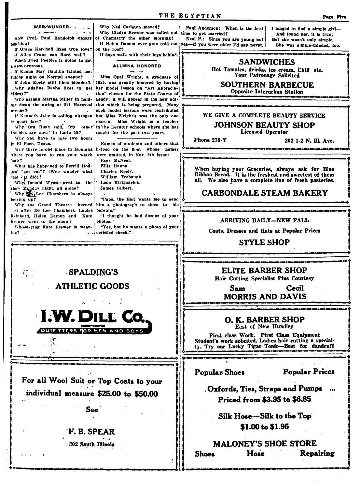THE EGYPTIAN WEE WUNDER Why Ned Carleton moved? Paul Anderson: When is the best Why Gladys Brewer was called out time to get married? How Prof. Paul Randolph enjoys of Chemistry the other morning? Neal P.: Since you are young not tesching? If Helen Damon ever gets cold out yet-if you were older I'd say never. If Grace Kerchoff likes true love? on the roof? If Alice Crane can Reed well? If dogs walk with their legs behind. When Fred Peeples is going to get **SANDWICHES** a. new overcoat. ALUMNA HONORED If Emma May Bauldin fainted last Your Patronage Solicited Friday night on Normal avenue? Miss Opal Wright, a graduate of if John Epely still likes blondes? 1925, was greatly honored by having Why Adaline Baahe likes to get her model lesson on "Art Apprecia-Opposite Interurban Station "Dizzy?" tion" chosen for the State Course of Who assists Martha Miller in hold-Study: it will appear in the new ediing down the swing at 211 Harwood tion which is being prepared. Many avenue 1. such model lessons were contributed but Miss Wright's was the only one If Kenneth Johe is selling nitrogen in quart jars? chosen. Miss Wright is a teacher Why Ora Rush said, "My other in the Decatur schools where she has troubles are men' in Latin 19? taught for the past two years. **Licensed Operator** Why you have to lose two hours Phone 279-Y in El Paso, Texas. Names of students and others that Why there is one place in Montana helped on the float whose names where you have to run your watch were omitted, in Nov. 9th issue: Ross McNeal. back? Ellis Hanna. What has happened to Ferrill Hodges' "pet cat"? (Wee wunder what Charles Neely. that eat did)? William Trobaugh. Why, Donald Wyst vent to the Leon Kirkpatrick. show Monday night, all alone? James Gilbert. Why Lee Chambers is always "Papa, the Earl wants me to send looking up? Why the Grand Theatre burned him a photograph to show to his just after De Lee Chambers, Louise parents." "I thought he had dozens of your Reinhard, Helen Damon and Kate ARRIVING DAILY-NEW FALL Brewer went to the show? photos." Whose-ring Kate Brewer is wear-"Yes, but he wants a photo of your  $int?$ certified check." **STYLE SHOP**  $\zeta$  . SPALDING'S Hair Cutting Specialist Plus Courtesy **ATHLETIC GOODS** . Sam **MORRIS AND DAVIS I.W. DILL CO** O. K. BARBER SHOP

East of New Hundley

First class Work. First Class Equipment<br>Student's work solicited. Ladies hair cutting a specialiy. Try our Lucky Tigar Tonic-Best for dandruff

**Popular Shoes** 

**Popular Prices** 

. Oxfords, Ties, Straps and Pumps Priced from \$3.95 to \$6.85

Silk Hose-Silk to the Top \$1.00 to \$1.95

#### **MALONEY'S SHOE STORE Hose** Repairing **Shoes**

For all Wool Suit or Top Coats to your individual measure \$25.00 to \$50.00

OUTFITTERS FOR MEN AND BOYS

الاثر

**See** 

# F. B. SPEAR

.302 South Illinois

I longed to find a simple girl-And found her, it is true; But she wasn't only simple, She was simple-minded, too.

Hot Tamales, drinks, ice cream, Chili etc.

# **SOUTHERN BARBECUE**

# **JOHNSON BEAUTY SHOP**

207 1-2 N. Ill. Ave.

When buying your Groceries, always ask for Blue Ribbon Bread. It is the freshest and sweetest of them all. We also have a complete line of fresh pasteries.

# **CARBONDALE STEAM BAKERY**

Coats, Dresses and Hats at Popular Prices

ELITE BARBER SHOP

Cecil.

WE GIVE A COMPLETE BEAUTY SERVICE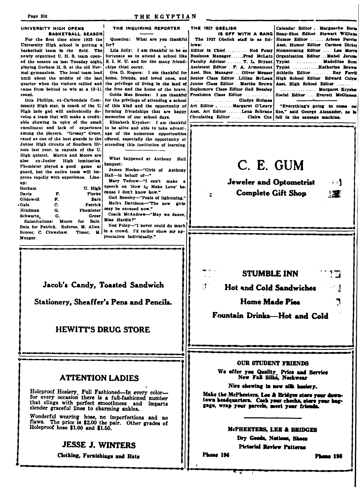THE EGYPTIAN

THE 1927 ORELISK

 $lows$ :

IS OFF WITH A BANG

The 1927 Obelisk staff is as fol-

Editor in Chief..........Ned Foley

### UNIVERSITY HIGH OPENS **BASKETBALL SEASON**

For the first time since 1923 the University High school is putting a basketball team in the field. The newly organized U. H. S. team opened the season on last Tuesday night. playing Gorham H. S. at the old Normal gymnasium. The local team lead until shout the middle of the last quarter when the visitors rallied and came from behind to win at a 13-11 count.

Otis Phillips, ex-Carbondale Community High star, is coach of the U. High lads and will undoubtedly develop a team that will make a creditable showing in spite of the small enrollment and lack of experience among the players. "Greasy" Greer, rated as one of the best guards in the Junior High circuits of Southern Illinois last year, is captain of the U. High quintet. Martin and Moore are ex-Junior High luminaries also Phemister played a good game at guard, but the entire team will improve rapidly with experience. Lineup:

| wornam                               |    | v. nızı          |
|--------------------------------------|----|------------------|
| Davis                                | F. | Fierke           |
| Glidewell                            | F. | Bain             |
| Gale                                 | C. | <b>Patrick</b>   |
| Hindman                              | G. | <b>Phemister</b> |
| Schwartz                             | G. | Greer            |
| Substitutions: Moore for Bain.       |    |                  |
| Bain for Patrick. Referee, M. Allen. |    |                  |
| Scorer, C. Crawshaw. Timer, H.       |    |                  |
| Munger.                              |    |                  |

THE INQUIRING REPORTER

Question: What are you thankful for?

Lila Jolly: I am thankful to be so fortunate as to attend a school like S. I. N. U. and for the many friendships thtat occur.

Ora D. Rogers: I am thankful for home, friends, and loved ones, and the privilege of living in the land of the free and the home of the brave.

Golda Mae Brooks: I am thankful for the privilege of attending a school of this kind and the opportunity of forming friendships that are happy memories of our school days.

Elizabeth Krysher: I am thankful to be alive and able to take advantage of the numerous opportunities offered, especially the opportunity of attending this institution of learning.

What happened at Anthony Hall banquet:

James Hooke-"Girls of Anthony Hall-in behalf of-"

Mary Tedrow-"I can't make a speech on 'How to Make Love' because I don't know how."

Gail Beasley-"Peals of lightening." Melba Davidson-"The new girls

may be excused now." Coach McAndrew-"May we dance,

Miss Hardin?" Ned Foley-"I never could do much

in a crowd. I'd rather show my appreciation individually."

Jacob's Candy, Toasted Sandwich

Stationery, Sheaffer's Pens and Pencils.

# **HEWITT'S DRUG STORE**

### **ATTENTION LADIES**

Holeproof Hosiery Full Fashioned-In every color-<br>for every occasion there is a full-fashioned number that clings with perfect smoothness and imparts slender graceful lines to charming ankles.

Wonderful wearing hose, no imperfections and no<br>flaws. The price is \$2.00 the pair. Other grades of Holeproof hose \$1.00 and \$1.50.

# **JESSE J. WINTERS**

Clothing, Furnishings and Hats



Calendar Editor . Marguerite Burns

Snap-Shot Editor Stewart Williams

Humor Editor ...... Arlene Perrine

Asst. Humor Editor Carmen Dicker Homecoming Editor .... Lee Morris

**STUMBLE INN Hot and Cold Sandwiches** 

Fountain Drinks-Hot and Cold

**Home Made Pies** 

### **OUR STUDENT FRIENDS**

We offer you Quality Price and Service<br>New Fall Silks, Neckwear

Nice showing in new silk hosiery.

Make the McPheeters, Lee & Bridges store your downtown headquarters. Cash your checks, stere your haggage, wrap your parcels, meet your friends.

### McPHEETERS, LEE & BRIDGES

Dry Goods, Notions, Shoes **Pictorial Review Patterns** 

Phone 196

 $\frac{1}{3}$ 

**Phone 196** 

יי<br>צווי

-1

٦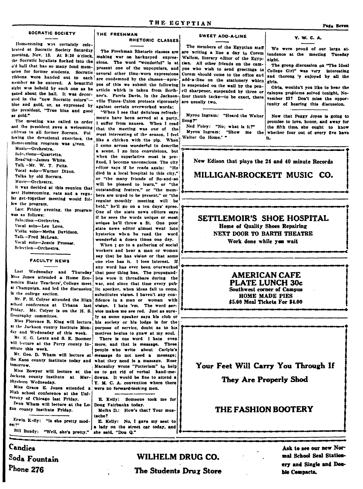### SOCRATIC SOCIETY

Homecoming was certainly celebrated at Socratic Society Saturday morning. Nov. 13. At 9:30 o'clock. the Socratic loyalists flocked into the o'd hall that has so many fond memories for former students. Socratic ribbons were handed out to each are condemned by the classes-apronember as he entered. A beautiful pos of this we submit the following sight was beheld by each one as he article which is taken from Scribgazed about the hall. It was decor- ner's. Farris Davis, in the Jacksonated in the "new Socratic colors"blue and gold, or, as expressed by against certain overworked words: the president, "True blue and good as gold."

The meeting was called to order and the president gave a welcoming address to all former Socrats. Fol Homecoming program was given.

Music-Orchestra. Selections-Quartette. Read'ng-James White Talk -Mr. W. T. Felts. Vocal solo-Warner Dixon. Talks by old Socrats. Music-Orchestre.

It was decided at this reunion that next Homecoming, eats and a regular get-together meeting would follow the program.

was as follows: Selection-Orchestra Vocal solo-Lee Love. Violin solo-Metha Davidson. Talk-Fred McLean. Vocal solo-Jessie Prosser. Selection-Orchestra

**FACULTY NEWS** 

Last Wednesday and Thursday Miss Jones attended a Home Economics State Teachers', College meet at Champaign, and led the discussion in the college section.

Mr. F. H. Colyer attended the High school conference at Urbana last Friday. Mr. Colyer is on the H. S. Geography committee.

Miss Florence R. King will lecture at the Jackson county institute Monday and Wednesday of this week. Mr. E. G. Lentz and S. E. Boomer

will lecture at the Perry county institute this week. Mr. Geo. D. Wham will lecture at

the Kane county institute today and what they need is a massage. Rose tomorrow.

Jackson county institute at Mur-Physboro Wednesday.

Miss Grace E. Jones attended a High school conference at the Uni-Versity of Chicago last Friday.

Dean Wham will lecture at the Lo-Ean county institute Friday.

Erwin K-lly: "Is she pretty modest? Bill Bundy: "Well, she's pretty." THE FRESHMAN RHETORIC CLASSES

The Freshman Rhetoric classes are making war on hackneyed expressions. The word "wonderful" is at present one of the unpopulars, and several other time-worn expressions ville Times-Union protests vigorously

"When I see that delicious refreshments have been served at a party. I suffer from nausea. When I read that the meeting was one of the most interesting of the season, I feel lowing the devotional exercises, the like a chicken with the pip. When I come across wonderful to describe a scene. I go into convulsions, but when the superlative most is prefixed, I become unconscious. The city editor says if he reads again: "He died in a local hospital in this city," or "the many friends of So-and-so will be pleased to learn," or "the outstanding feature." or "the members are urged to be present," or "the regular monthly meeting will be held." he'll go on a ten days' spree. Last Friday evening, the program one of the state news editors says if he sees the words unique or most unique he'll throw a fit. One poor state news editor almost went into bysterics when he read the word wonderful a dozen times one day.

When I go to a gathering of social workers and hear a man or woman say that he has vision or that some one else has it. I lose interest. If any word has ever been overworked that poor thing has. The propagandists wore it threadbare during the war, and since that time every public speaker, when ideas fail to come. substitutes vision. I haven't any conwith fidence in a man or woman vision. I hate 'em. The word service makes me see red. Just as surely as some speaker says his club or his society or his lodge is for the purpose of service, doubt as to his motives begins to gnaw at my soul. There is one word I hate even more, and that is message. These people who write about Carlyle's message do not need a message; Macaulay wrote "Potterism" to help Miss Bowyer will lecture at the us to get rid of verbal hand-medowns. It would be fine to attend a Y. M. C. A. convention where there were no forward-looking men.

> E. Kelly: Someone took me for Doug Fairbanks today. Melba D.: How's that? Your mustache?

E. Kelly: No, I gave my seat to a lady on the street car today, and she said. "Don Q."

### **SWEET ADD-A-LINE**

The members of the Egyptian staff are writing a line a day to Corem Wallem, literary editor of the Egyptian. All other friends on the campus who wish to send greetings to Corem should come to the office and add-a-line on the stationery which is suspended on the wall by the pencil sharpener, suspended by three or four thumb tacks-to be exact, there are usually two.

Myrou Ingram: "Heard the Waiter Song?" Ned Foley: "No; what is it?"

Myron Ingram; "Show me the Waiter Go Home.' "

 $V. W. C. A.$ 

We were proud of our large attendance at the meeting Tuesday night

The group discussion on "The Ideal College Girl" was very interesting and thoroug 'y enjoyed by all the girls.

Girls, wouldn't you like to hear the campus problems solved tonight. November 23? Don't miss the opportunity of hearing this discussion.

Now that Peggy Joyce is going to promise to love, honor, and away for the fifth time, she ought to know whether four out of every five have

New Edison that plays the 24 and 40 minute Records

MILLIGAN-BROCKETT MUSIC CO.

## SETTLEMOIR'S SHOE HOSPITAL Home of Quality Shoes Repairing NEXT DOOR TO BARTH THEATRE Work done while you wait

### **AMERICAN CAFE PLATE LUNCH 30c** Southwest corner of Campus **HOME MADE PIES** \$5.00 Meal Tickets For \$4.00

Your Feet Will Carry You Through If

They Are Properly Shod

# THE FASHION BOOTERY

# Candies Soda Fountain Phone 276

# WILHELM DRUG CO. The Students Drux Store

Ask to see our new Normal School Seal Stationery and Single and Double Compacts.